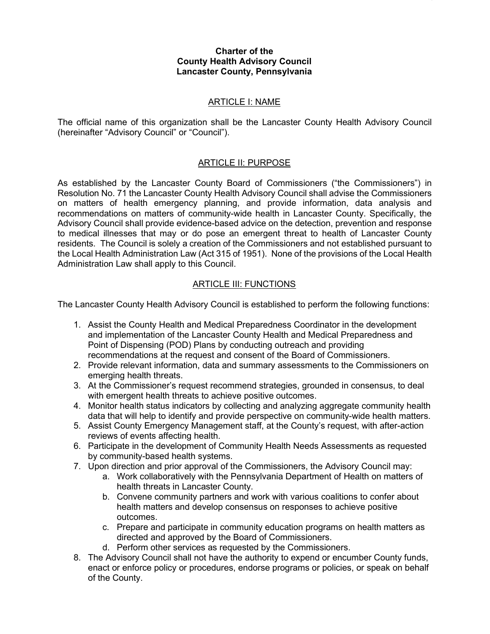#### Charter of the County Health Advisory Council Lancaster County, Pennsylvania

#### ARTICLE I: NAME

The official name of this organization shall be the Lancaster County Health Advisory Council (hereinafter "Advisory Council" or "Council").

### ARTICLE II: PURPOSE

As established by the Lancaster County Board of Commissioners ("the Commissioners") in Resolution No. 71 the Lancaster County Health Advisory Council shall advise the Commissioners on matters of health emergency planning, and provide information, data analysis and recommendations on matters of community-wide health in Lancaster County. Specifically, the Advisory Council shall provide evidence-based advice on the detection, prevention and response to medical illnesses that may or do pose an emergent threat to health of Lancaster County residents. The Council is solely a creation of the Commissioners and not established pursuant to the Local Health Administration Law (Act 315 of 1951). None of the provisions of the Local Health Administration Law shall apply to this Council.

### ARTICLE III: FUNCTIONS

The Lancaster County Health Advisory Council is established to perform the following functions:

- 1. Assist the County Health and Medical Preparedness Coordinator in the development and implementation of the Lancaster County Health and Medical Preparedness and Point of Dispensing (POD) Plans by conducting outreach and providing recommendations at the request and consent of the Board of Commissioners.
- 2. Provide relevant information, data and summary assessments to the Commissioners on emerging health threats.
- 3. At the Commissioner's request recommend strategies, grounded in consensus, to deal with emergent health threats to achieve positive outcomes.
- 4. Monitor health status indicators by collecting and analyzing aggregate community health data that will help to identify and provide perspective on community-wide health matters.
- 5. Assist County Emergency Management staff, at the County's request, with after-action reviews of events affecting health.
- 6. Participate in the development of Community Health Needs Assessments as requested by community-based health systems.
- 7. Upon direction and prior approval of the Commissioners, the Advisory Council may:
	- a. Work collaboratively with the Pennsylvania Department of Health on matters of health threats in Lancaster County.
	- b. Convene community partners and work with various coalitions to confer about health matters and develop consensus on responses to achieve positive outcomes.
	- c. Prepare and participate in community education programs on health matters as directed and approved by the Board of Commissioners.
	- d. Perform other services as requested by the Commissioners.
- 8. The Advisory Council shall not have the authority to expend or encumber County funds, enact or enforce policy or procedures, endorse programs or policies, or speak on behalf of the County.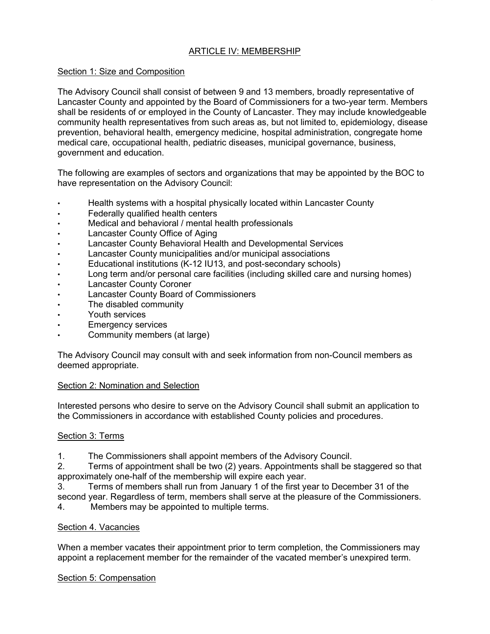### ARTICLE IV: MEMBERSHIP

### Section 1: Size and Composition

The Advisory Council shall consist of between 9 and 13 members, broadly representative of Lancaster County and appointed by the Board of Commissioners for a two-year term. Members shall be residents of or employed in the County of Lancaster. They may include knowledgeable community health representatives from such areas as, but not limited to, epidemiology, disease prevention, behavioral health, emergency medicine, hospital administration, congregate home medical care, occupational health, pediatric diseases, municipal governance, business, government and education.

The following are examples of sectors and organizations that may be appointed by the BOC to have representation on the Advisory Council:

- Health systems with a hospital physically located within Lancaster County
- Federally qualified health centers
- Medical and behavioral / mental health professionals
- Lancaster County Office of Aging
- Lancaster County Behavioral Health and Developmental Services
- Lancaster County municipalities and/or municipal associations
- Educational institutions (K-12 IU13, and post-secondary schools)
- Long term and/or personal care facilities (including skilled care and nursing homes)
- **Lancaster County Coroner**
- Lancaster County Board of Commissioners
- The disabled community
- Youth services
- **Emergency services**
- Community members (at large)

The Advisory Council may consult with and seek information from non-Council members as deemed appropriate.

### Section 2: Nomination and Selection

Interested persons who desire to serve on the Advisory Council shall submit an application to the Commissioners in accordance with established County policies and procedures.

### Section 3: Terms

1. The Commissioners shall appoint members of the Advisory Council.

2. Terms of appointment shall be two (2) years. Appointments shall be staggered so that approximately one-half of the membership will expire each year.

3. Terms of members shall run from January 1 of the first year to December 31 of the second year. Regardless of term, members shall serve at the pleasure of the Commissioners.

4. Members may be appointed to multiple terms.

### Section 4. Vacancies

When a member vacates their appointment prior to term completion, the Commissioners may appoint a replacement member for the remainder of the vacated member's unexpired term.

### Section 5: Compensation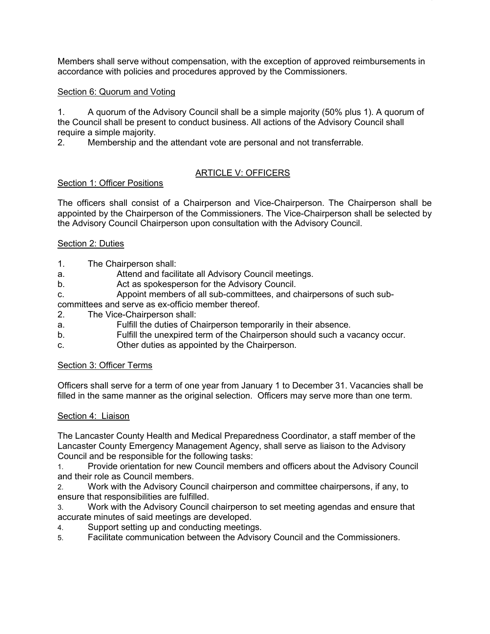Members shall serve without compensation, with the exception of approved reimbursements in accordance with policies and procedures approved by the Commissioners.

### Section 6: Quorum and Voting

1. A quorum of the Advisory Council shall be a simple majority (50% plus 1). A quorum of the Council shall be present to conduct business. All actions of the Advisory Council shall require a simple majority.

2. Membership and the attendant vote are personal and not transferrable.

# ARTICLE V: OFFICERS

## Section 1: Officer Positions

The officers shall consist of a Chairperson and Vice-Chairperson. The Chairperson shall be appointed by the Chairperson of the Commissioners. The Vice-Chairperson shall be selected by the Advisory Council Chairperson upon consultation with the Advisory Council.

## Section 2: Duties

- 1. The Chairperson shall:
- a. Attend and facilitate all Advisory Council meetings.
- b. Act as spokesperson for the Advisory Council.
- c. Appoint members of all sub-committees, and chairpersons of such sub-

committees and serve as ex-officio member thereof.

- 2. The Vice-Chairperson shall:
- a. Fulfill the duties of Chairperson temporarily in their absence.
- b. Fulfill the unexpired term of the Chairperson should such a vacancy occur.
- c. Other duties as appointed by the Chairperson.

### Section 3: Officer Terms

Officers shall serve for a term of one year from January 1 to December 31. Vacancies shall be filled in the same manner as the original selection. Officers may serve more than one term.

### Section 4: Liaison

The Lancaster County Health and Medical Preparedness Coordinator, a staff member of the Lancaster County Emergency Management Agency, shall serve as liaison to the Advisory Council and be responsible for the following tasks:

1. Provide orientation for new Council members and officers about the Advisory Council and their role as Council members.

2. Work with the Advisory Council chairperson and committee chairpersons, if any, to ensure that responsibilities are fulfilled.

3. Work with the Advisory Council chairperson to set meeting agendas and ensure that accurate minutes of said meetings are developed.

- 4. Support setting up and conducting meetings.
- 5. Facilitate communication between the Advisory Council and the Commissioners.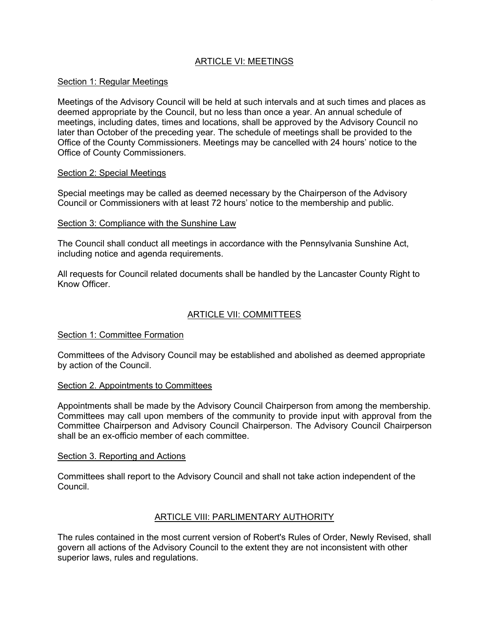## ARTICLE VI: MEETINGS

#### Section 1: Regular Meetings

Meetings of the Advisory Council will be held at such intervals and at such times and places as deemed appropriate by the Council, but no less than once a year. An annual schedule of meetings, including dates, times and locations, shall be approved by the Advisory Council no later than October of the preceding year. The schedule of meetings shall be provided to the Office of the County Commissioners. Meetings may be cancelled with 24 hours' notice to the Office of County Commissioners.

#### Section 2: Special Meetings

Special meetings may be called as deemed necessary by the Chairperson of the Advisory Council or Commissioners with at least 72 hours' notice to the membership and public.

#### Section 3: Compliance with the Sunshine Law

The Council shall conduct all meetings in accordance with the Pennsylvania Sunshine Act, including notice and agenda requirements.

All requests for Council related documents shall be handled by the Lancaster County Right to Know Officer.

### ARTICLE VII: COMMITTEES

#### Section 1: Committee Formation

Committees of the Advisory Council may be established and abolished as deemed appropriate by action of the Council.

#### Section 2. Appointments to Committees

Appointments shall be made by the Advisory Council Chairperson from among the membership. Committees may call upon members of the community to provide input with approval from the Committee Chairperson and Advisory Council Chairperson. The Advisory Council Chairperson shall be an ex-officio member of each committee.

#### Section 3. Reporting and Actions

Committees shall report to the Advisory Council and shall not take action independent of the Council.

### ARTICLE VIII: PARLIMENTARY AUTHORITY

The rules contained in the most current version of Robert's Rules of Order, Newly Revised, shall govern all actions of the Advisory Council to the extent they are not inconsistent with other superior laws, rules and regulations.